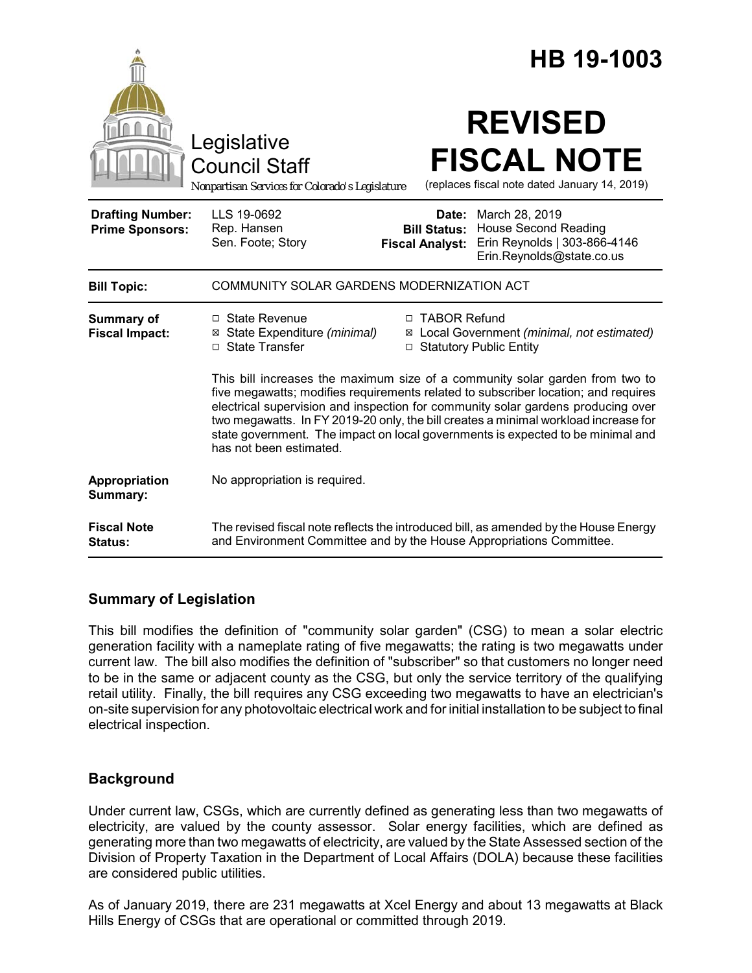|                                                   |                                                                                                                                                                                                                                                                                                                                                                                                                                                             |                                                        | HB 19-1003                                                                                                 |
|---------------------------------------------------|-------------------------------------------------------------------------------------------------------------------------------------------------------------------------------------------------------------------------------------------------------------------------------------------------------------------------------------------------------------------------------------------------------------------------------------------------------------|--------------------------------------------------------|------------------------------------------------------------------------------------------------------------|
|                                                   | Legislative<br><b>Council Staff</b><br>Nonpartisan Services for Colorado's Legislature                                                                                                                                                                                                                                                                                                                                                                      |                                                        | <b>REVISED</b><br><b>FISCAL NOTE</b><br>(replaces fiscal note dated January 14, 2019)                      |
| <b>Drafting Number:</b><br><b>Prime Sponsors:</b> | LLS 19-0692<br>Rep. Hansen<br>Sen. Foote; Story                                                                                                                                                                                                                                                                                                                                                                                                             | Date:<br><b>Bill Status:</b><br><b>Fiscal Analyst:</b> | March 28, 2019<br><b>House Second Reading</b><br>Erin Reynolds   303-866-4146<br>Erin.Reynolds@state.co.us |
| <b>Bill Topic:</b>                                | COMMUNITY SOLAR GARDENS MODERNIZATION ACT                                                                                                                                                                                                                                                                                                                                                                                                                   |                                                        |                                                                                                            |
| Summary of<br><b>Fiscal Impact:</b>               | □ State Revenue<br>⊠ State Expenditure (minimal)<br>□ State Transfer                                                                                                                                                                                                                                                                                                                                                                                        | □ TABOR Refund<br>□ Statutory Public Entity            | ⊠ Local Government (minimal, not estimated)                                                                |
|                                                   | This bill increases the maximum size of a community solar garden from two to<br>five megawatts; modifies requirements related to subscriber location; and requires<br>electrical supervision and inspection for community solar gardens producing over<br>two megawatts. In FY 2019-20 only, the bill creates a minimal workload increase for<br>state government. The impact on local governments is expected to be minimal and<br>has not been estimated. |                                                        |                                                                                                            |
| Appropriation<br>Summary:                         | No appropriation is required.                                                                                                                                                                                                                                                                                                                                                                                                                               |                                                        |                                                                                                            |
| <b>Fiscal Note</b><br>Status:                     | The revised fiscal note reflects the introduced bill, as amended by the House Energy<br>and Environment Committee and by the House Appropriations Committee.                                                                                                                                                                                                                                                                                                |                                                        |                                                                                                            |

# **Summary of Legislation**

This bill modifies the definition of "community solar garden" (CSG) to mean a solar electric generation facility with a nameplate rating of five megawatts; the rating is two megawatts under current law. The bill also modifies the definition of "subscriber" so that customers no longer need to be in the same or adjacent county as the CSG, but only the service territory of the qualifying retail utility. Finally, the bill requires any CSG exceeding two megawatts to have an electrician's on-site supervision for any photovoltaic electrical work and for initial installation to be subject to final electrical inspection.

# **Background**

Under current law, CSGs, which are currently defined as generating less than two megawatts of electricity, are valued by the county assessor. Solar energy facilities, which are defined as generating more than two megawatts of electricity, are valued by the State Assessed section of the Division of Property Taxation in the Department of Local Affairs (DOLA) because these facilities are considered public utilities.

As of January 2019, there are 231 megawatts at Xcel Energy and about 13 megawatts at Black Hills Energy of CSGs that are operational or committed through 2019.